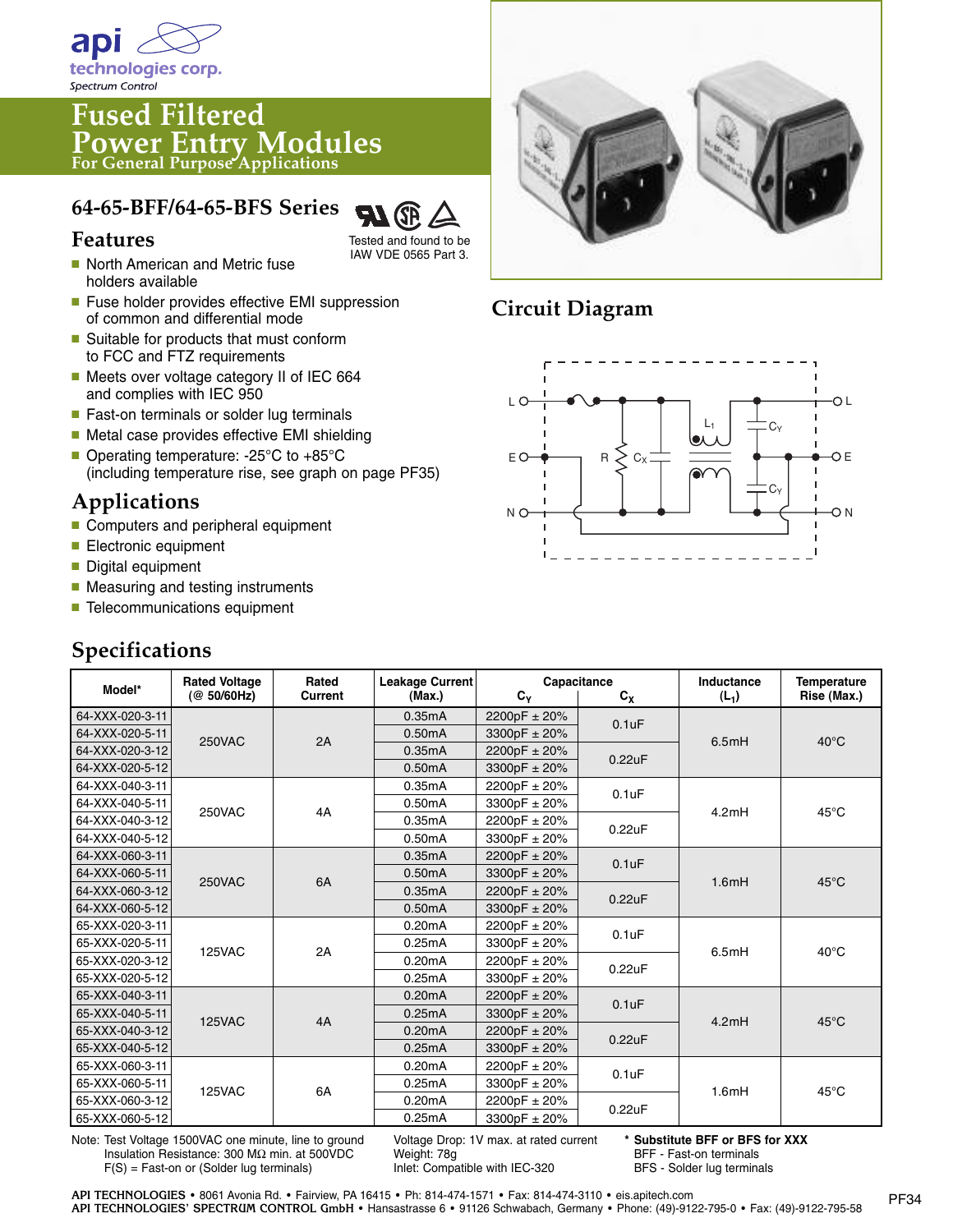

# **Fused Filtered Power Entry Modules For General Purpose Applications**

#### **64-65-BFF/64-65-BFS Series**



Tested and found to be IAW VDE 0565 Part 3.

- North American and Metric fuse holders available
- Fuse holder provides effective EMI suppression of common and differential mode
- Suitable for products that must conform to FCC and FTZ requirements
- Meets over voltage category II of IEC 664 and complies with IEC 950
- Fast-on terminals or solder lug terminals
- Metal case provides effective EMI shielding
- Operating temperature: -25°C to +85°C (including temperature rise, see graph on page PF35)

## **Applications**

- Computers and peripheral equipment
- Electronic equipment
- Digital equipment
- Measuring and testing instruments
- Telecommunications equipment

### **Specifications**

**Model\* Rated Voltage Rated Leakage Current Capacitance Inductance Temperature (@ 50/60Hz) Current (Max.) CY CX (L1) Rise (Max.)** 64-XXX-020-3-11 0.35mA 0.50mA  $2200pF + 20%$ 3300pF ± 20% 2200pF ± 20% 3300pF ± 20%  $2200pF \pm 20%$ 3300pF ± 20%  $2200pF \pm 20%$ 3300pF ± 20%  $2200pF \pm 20%$ 3300pF ± 20% 2200pF ± 20% 3300pF ± 20%  $2200pF \pm 20%$ 3300pF ± 20% 2200pF ± 20% 3300pF ± 20%  $2200pF \pm 20%$ 3300pF ± 20% 2200pF ± 20% 3300pF ± 20% 2200pF ± 20% 3300pF ± 20% 2200pF ± 20% 3300pF ± 20% 0.35mA 0.50mA 0.35mA 0.50mA 0.35mA 0.50mA 0.35mA 0.50mA 0.35mA 0.50mA 0.20mA 0.25mA 0.20mA 0.25mA 0.20mA 0.25mA 0.20mA 0.25mA 0.20mA 0.25mA 0.20mA 0.25mA 64-XXX-020-5-11 250VAC 2A  $0.1$ uF 0.22uF  $0.1$ uF 0.22uF 0.1uF 0.22uF 0.1uF 0.22uF  $0.1$ u $F$ 0.22uF 0.1uF 0.22uF 4A 6A 40°C 45°C 45°C 40°C 45°C 45°C 6.5mH 4.2mH 1.6mH 6.5mH 4.2mH 1.6mH 2A 4A 6A 250VAC 250VAC 125VAC 125VAC 125VAC 64-XXX-020-3-12 64-XXX-020-5-12 64-XXX-040-3-11 64-XXX-040-5-11 64-XXX-040-3-12 64-XXX-040-5-12 64-XXX-060-3-11 64-XXX-060-5-11 64-XXX-060-3-12 64-XXX-060-5-12 65-XXX-020-3-11 65-XXX-020-5-11 65-XXX-020-3-12 65-XXX-020-5-12 65-XXX-040-3-11 65-XXX-040-5-11 65-XXX-040-3-12 65-XXX-040-5-12 65-XXX-060-3-11 65-XXX-060-5-11 65-XXX-060-3-12 65-XXX-060-5-12

Note: Test Voltage 1500VAC one minute, line to ground Insulation Resistance: 300 MΩ min. at 500VDC F(S) = Fast-on or (Solder lug terminals)

Voltage Drop: 1V max. at rated current Weight: 78g Inlet: Compatible with IEC-320

**\* Substitute BFF or BFS for XXX** BFF - Fast-on terminals BFS - Solder lug terminals



### **Circuit Diagram**

![](_page_0_Figure_25.jpeg)